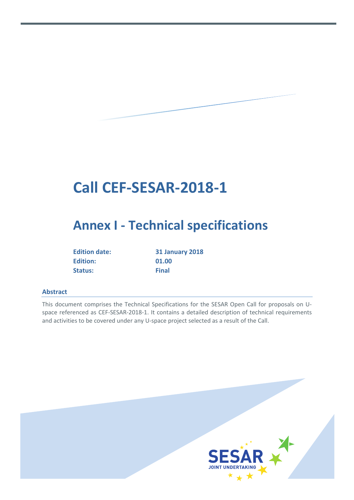# **Call CEF-SESAR-2018-1**

# **Annex I - Technical specifications**

| <b>Edition date:</b> |
|----------------------|
| <b>Edition:</b>      |
| Status:              |

**Edition date: 31 January 2018 Edition: 01.00 Status: Final**

#### <span id="page-0-0"></span>**Abstract**

This document comprises the Technical Specifications for the SESAR Open Call for proposals on Uspace referenced as CEF-SESAR-2018-1. It contains a detailed description of technical requirements and activities to be covered under any U-space project selected as a result of the Call.

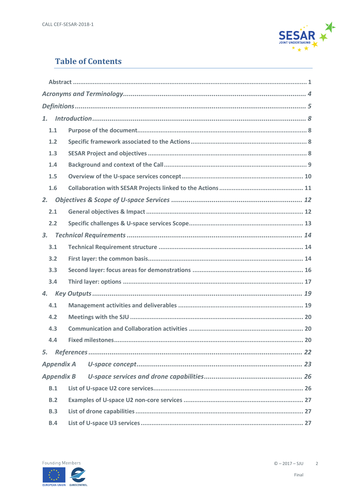

# **Table of Contents**

| 1.1               |  |
|-------------------|--|
| 1.2               |  |
| 1.3               |  |
| 1.4               |  |
| 1.5               |  |
| 1.6               |  |
| 2.                |  |
| 2.1               |  |
| 2.2               |  |
| 3.                |  |
| 3.1               |  |
| 3.2               |  |
| 3.3               |  |
| 3.4               |  |
| 4.                |  |
| 4.1               |  |
| 4.2               |  |
| 4.3               |  |
| 4.4               |  |
| 5.                |  |
| <b>Appendix A</b> |  |
| <b>Appendix B</b> |  |
| B.1               |  |
| B.2               |  |
| B.3               |  |
| <b>B.4</b>        |  |

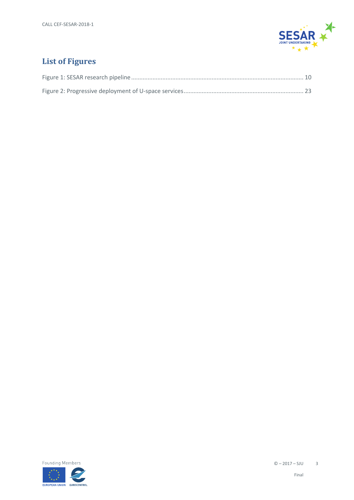

# **List of Figures**

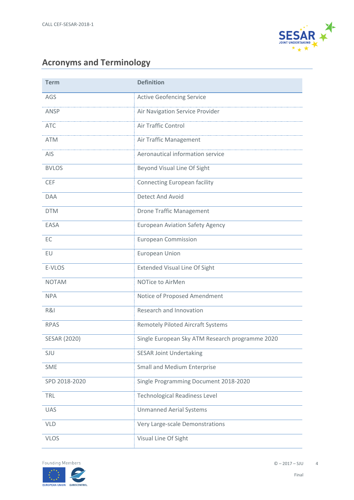

# <span id="page-3-0"></span>**Acronyms and Terminology**

| <b>Term</b>         | <b>Definition</b>                               |
|---------------------|-------------------------------------------------|
| AGS                 | <b>Active Geofencing Service</b>                |
| ANSP                | Air Navigation Service Provider                 |
| <b>ATC</b>          | Air Traffic Control                             |
| <b>ATM</b>          | Air Traffic Management                          |
| AIS                 | Aeronautical information service                |
| <b>BVLOS</b>        | Beyond Visual Line Of Sight                     |
| <b>CEF</b>          | <b>Connecting European facility</b>             |
| <b>DAA</b>          | Detect And Avoid                                |
| <b>DTM</b>          | <b>Drone Traffic Management</b>                 |
| <b>EASA</b>         | <b>European Aviation Safety Agency</b>          |
| EC                  | <b>European Commission</b>                      |
| EU                  | <b>European Union</b>                           |
| E-VLOS              | <b>Extended Visual Line Of Sight</b>            |
| <b>NOTAM</b>        | NOTice to AirMen                                |
| <b>NPA</b>          | Notice of Proposed Amendment                    |
| R&I                 | Research and Innovation                         |
| <b>RPAS</b>         | <b>Remotely Piloted Aircraft Systems</b>        |
| <b>SESAR (2020)</b> | Single European Sky ATM Research programme 2020 |
| SJU                 | <b>SESAR Joint Undertaking</b>                  |
| <b>SME</b>          | <b>Small and Medium Enterprise</b>              |
| SPD 2018-2020       | Single Programming Document 2018-2020           |
| TRL                 | <b>Technological Readiness Level</b>            |
| <b>UAS</b>          | <b>Unmanned Aerial Systems</b>                  |
| <b>VLD</b>          | Very Large-scale Demonstrations                 |
| <b>VLOS</b>         | Visual Line Of Sight                            |

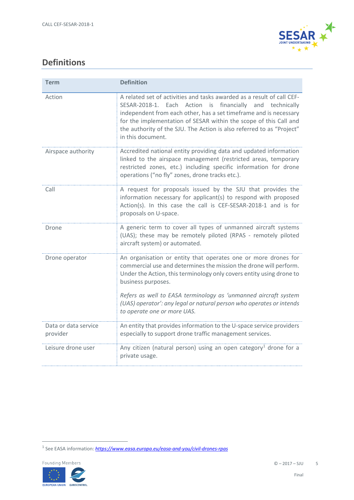

# <span id="page-4-0"></span>**Definitions**

| <b>Term</b>                      | <b>Definition</b>                                                                                                                                                                                                                                                                                                                                                          |  |
|----------------------------------|----------------------------------------------------------------------------------------------------------------------------------------------------------------------------------------------------------------------------------------------------------------------------------------------------------------------------------------------------------------------------|--|
| Action                           | A related set of activities and tasks awarded as a result of call CEF-<br>SESAR-2018-1. Each Action is financially and technically<br>independent from each other, has a set timeframe and is necessary<br>for the implementation of SESAR within the scope of this Call and<br>the authority of the SJU. The Action is also referred to as "Project"<br>in this document. |  |
| Airspace authority               | Accredited national entity providing data and updated information<br>linked to the airspace management (restricted areas, temporary<br>restricted zones, etc.) including specific information for drone<br>operations ("no fly" zones, drone tracks etc.).                                                                                                                 |  |
| Call                             | A request for proposals issued by the SJU that provides the<br>information necessary for applicant(s) to respond with proposed<br>Action(s). In this case the call is CEF-SESAR-2018-1 and is for<br>proposals on U-space.                                                                                                                                                 |  |
| Drone                            | A generic term to cover all types of unmanned aircraft systems<br>(UAS); these may be remotely piloted (RPAS - remotely piloted<br>aircraft system) or automated.                                                                                                                                                                                                          |  |
| Drone operator                   | An organisation or entity that operates one or more drones for<br>commercial use and determines the mission the drone will perform.<br>Under the Action, this terminology only covers entity using drone to<br>business purposes.<br>Refers as well to EASA terminology as 'unmanned aircraft system                                                                       |  |
|                                  | (UAS) operator': any legal or natural person who operates or intends<br>to operate one or more UAS.                                                                                                                                                                                                                                                                        |  |
| Data or data service<br>provider | An entity that provides information to the U-space service providers<br>especially to support drone traffic management services.                                                                                                                                                                                                                                           |  |
| Leisure drone user               | Any citizen (natural person) using an open category <sup>1</sup> drone for a<br>private usage.                                                                                                                                                                                                                                                                             |  |

<span id="page-4-1"></span> <sup>1</sup> See EASA information: *<https://www.easa.europa.eu/easa-and-you/civil-drones-rpas>*

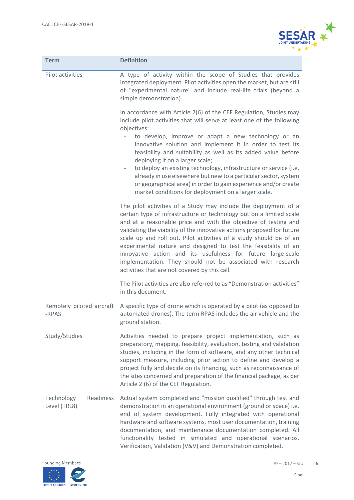

| <b>Term</b>                             | <b>Definition</b>                                                                                                                                                                                                                                                                                                                                                                                                                                                                                                                                                                                                                                     |  |  |
|-----------------------------------------|-------------------------------------------------------------------------------------------------------------------------------------------------------------------------------------------------------------------------------------------------------------------------------------------------------------------------------------------------------------------------------------------------------------------------------------------------------------------------------------------------------------------------------------------------------------------------------------------------------------------------------------------------------|--|--|
| Pilot activities                        | A type of activity within the scope of Studies that provides<br>integrated deployment. Pilot activities open the market, but are still<br>of "experimental nature" and include real-life trials (beyond a<br>simple demonstration).                                                                                                                                                                                                                                                                                                                                                                                                                   |  |  |
|                                         | In accordance with Article 2(6) of the CEF Regulation, Studies may<br>include pilot activities that will serve at least one of the following<br>objectives:<br>to develop, improve or adapt a new technology or an<br>innovative solution and implement it in order to test its<br>feasibility and suitability as well as its added value before<br>deploying it on a larger scale;<br>to deploy an existing technology, infrastructure or service (i.e.<br>already in use elsewhere but new to a particular sector, system<br>or geographical area) in order to gain experience and/or create<br>market conditions for deployment on a larger scale. |  |  |
|                                         | The pilot activities of a Study may include the deployment of a<br>certain type of infrastructure or technology but on a limited scale<br>and at a reasonable price and with the objective of testing and<br>validating the viability of the innovative actions proposed for future<br>scale up and roll out. Pilot activities of a study should be of an<br>experimental nature and designed to test the feasibility of an<br>innovative action and its usefulness for future large-scale<br>implementation. They should not be associated with research<br>activities that are not covered by this call.                                            |  |  |
|                                         | The Pilot activities are also referred to as "Demonstration activities"<br>in this document.                                                                                                                                                                                                                                                                                                                                                                                                                                                                                                                                                          |  |  |
| Remotely piloted aircraft<br>-RPAS      | A specific type of drone which is operated by a pilot (as opposed to<br>automated drones). The term RPAS includes the air vehicle and the<br>ground station.                                                                                                                                                                                                                                                                                                                                                                                                                                                                                          |  |  |
| Study/Studies                           | Activities needed to prepare project implementation, such as<br>preparatory, mapping, feasibility, evaluation, testing and validation<br>studies, including in the form of software, and any other technical<br>support measure, including prior action to define and develop a<br>project fully and decide on its financing, such as reconnaissance of<br>the sites concerned and preparation of the financial package, as per<br>Article 2 (6) of the CEF Regulation.                                                                                                                                                                               |  |  |
| Readiness<br>Technology<br>Level (TRL8) | Actual system completed and "mission qualified" through test and<br>demonstration in an operational environment (ground or space) i.e.<br>end of system development. Fully integrated with operational<br>hardware and software systems, most user documentation, training<br>documentation, and maintenance documentation completed. All<br>functionality tested in simulated and operational scenarios.<br>Verification, Validation (V&V) and Demonstration completed.                                                                                                                                                                              |  |  |



6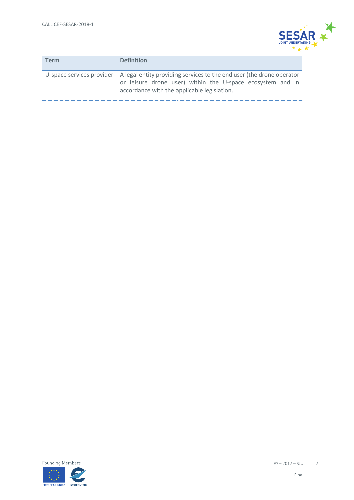

| <b>Term</b> | <b>Definition</b>                                                                                                                                                                                                        |
|-------------|--------------------------------------------------------------------------------------------------------------------------------------------------------------------------------------------------------------------------|
|             | U-space services provider $\parallel$ A legal entity providing services to the end user (the drone operator<br>or leisure drone user) within the U-space ecosystem and in<br>accordance with the applicable legislation. |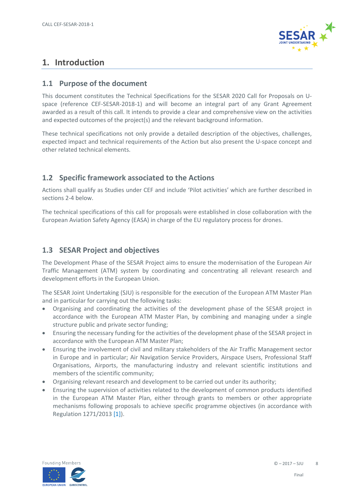

# <span id="page-7-0"></span>**1. Introduction**

#### <span id="page-7-1"></span>**1.1 Purpose of the document**

This document constitutes the Technical Specifications for the SESAR 2020 Call for Proposals on Uspace (reference CEF-SESAR-2018-1) and will become an integral part of any Grant Agreement awarded as a result of this call. It intends to provide a clear and comprehensive view on the activities and expected outcomes of the project(s) and the relevant background information.

These technical specifications not only provide a detailed description of the objectives, challenges, expected impact and technical requirements of the Action but also present the U-space concept and other related technical elements.

#### <span id="page-7-2"></span>**1.2 Specific framework associated to the Actions**

Actions shall qualify as Studies under CEF and include 'Pilot activities' which are further described in sections 2-4 below.

The technical specifications of this call for proposals were established in close collaboration with the European Aviation Safety Agency (EASA) in charge of the EU regulatory process for drones.

#### <span id="page-7-3"></span>**1.3 SESAR Project and objectives**

The Development Phase of the SESAR Project aims to ensure the modernisation of the European Air Traffic Management (ATM) system by coordinating and concentrating all relevant research and development efforts in the European Union.

The SESAR Joint Undertaking (SJU) is responsible for the execution of the European ATM Master Plan and in particular for carrying out the following tasks:

- Organising and coordinating the activities of the development phase of the SESAR project in accordance with the European ATM Master Plan, by combining and managing under a single structure public and private sector funding;
- Ensuring the necessary funding for the activities of the development phase of the SESAR project in accordance with the European ATM Master Plan;
- Ensuring the involvement of civil and military stakeholders of the Air Traffic Management sector in Europe and in particular; Air Navigation Service Providers, Airspace Users, Professional Staff Organisations, Airports, the manufacturing industry and relevant scientific institutions and members of the scientific community;
- Organising relevant research and development to be carried out under its authority;
- Ensuring the supervision of activities related to the development of common products identified in the European ATM Master Plan, either through grants to members or other appropriate mechanisms following proposals to achieve specific programme objectives (in accordance with Regulation 1271/2013 [\[1\]\)](#page-21-1).

<span id="page-7-4"></span>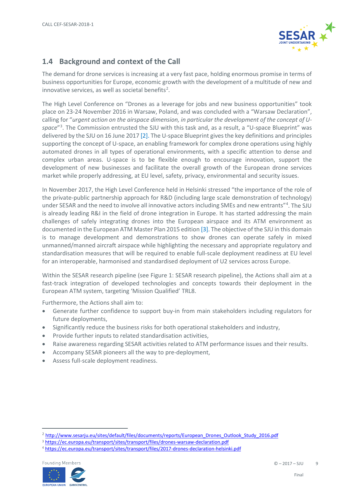

#### **1.4 Background and context of the Call**

The demand for drone services is increasing at a very fast pace, holding enormous promise in terms of business opportunities for Europe, economic growth with the development of a multitude of new and innovative services, as well as societal benefits<sup>[2](#page-8-0)</sup>.

The High Level Conference on "Drones as a leverage for jobs and new business opportunities" took place on 23-24 November 2016 in Warsaw, Poland, and was concluded with a "Warsaw Declaration", calling for "*urgent action on the airspace dimension, in particular the development of the concept of Uspace*"[3](#page-8-1) . The Commission entrusted the SJU with this task and, as a result, a "U-space Blueprint" was delivered by the SJU on 16 June 2017 [\[2\].](#page-21-2) The U-space Blueprint gives the key definitions and principles supporting the concept of U-space, an enabling framework for complex drone operations using highly automated drones in all types of operational environments, with a specific attention to dense and complex urban areas. U-space is to be flexible enough to encourage innovation, support the development of new businesses and facilitate the overall growth of the European drone services market while properly addressing, at EU level, safety, privacy, environmental and security issues.

In November 2017, the High Level Conference held in Helsinki stressed "the importance of the role of the private-public partnership approach for R&D (including large scale demonstration of technology) under SESAR and the need to involve all innovative actors including SMEs and new entrants"<sup>[4](#page-8-2)</sup>. The SJU is already leading R&I in the field of drone integration in Europe. It has started addressing the main challenges of safely integrating drones into the European airspace and its ATM environment as documented in the European ATM Master Plan 2015 edition [\[3\].](#page-21-3) The objective of the SJU in this domain is to manage development and demonstrations to show drones can operate safely in mixed unmanned/manned aircraft airspace while highlighting the necessary and appropriate regulatory and standardisation measures that will be required to enable full-scale deployment readiness at EU level for an interoperable, harmonised and standardised deployment of U2 services across Europe.

Within the SESAR research pipeline (see [Figure 1: SESAR research pipeline\)](#page-9-2), the Actions shall aim at a fast-track integration of developed technologies and concepts towards their deployment in the European ATM system, targeting 'Mission Qualified' TRL8.

Furthermore, the Actions shall aim to:

- Generate further confidence to support buy-in from main stakeholders including regulators for future deployments,
- Significantly reduce the business risks for both operational stakeholders and industry,
- Provide further inputs to related standardisation activities,
- Raise awareness regarding SESAR activities related to ATM performance issues and their results.
- Accompany SESAR pioneers all the way to pre-deployment,
- Assess full-scale deployment readiness.

<span id="page-8-2"></span><span id="page-8-1"></span><sup>4</sup> <https://ec.europa.eu/transport/sites/transport/files/2017-drones-declaration-helsinki.pdf>



<span id="page-8-0"></span><sup>&</sup>lt;sup>2</sup> [http://www.sesarju.eu/sites/default/files/documents/reports/European\\_Drones\\_Outlook\\_Study\\_2016.pdf](http://www.sesarju.eu/sites/default/files/documents/reports/European_Drones_Outlook_Study_2016.pdf)

<sup>3</sup> <https://ec.europa.eu/transport/sites/transport/files/drones-warsaw-declaration.pdf>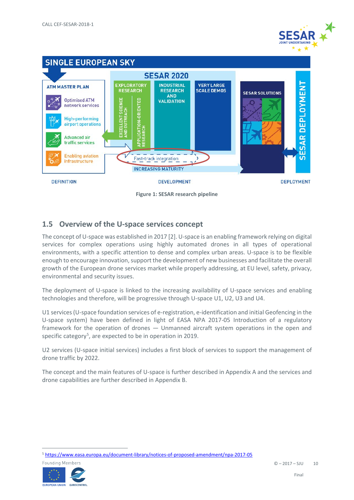



**Figure 1: SESAR research pipeline**

#### <span id="page-9-2"></span><span id="page-9-0"></span>**1.5 Overview of the U-space services concept**

The concept of U-space was established in 201[7 \[2\].](#page-21-2) U-space is an enabling framework relying on digital services for complex operations using highly automated drones in all types of operational environments, with a specific attention to dense and complex urban areas. U-space is to be flexible enough to encourage innovation, support the development of new businesses and facilitate the overall growth of the European drone services market while properly addressing, at EU level, safety, privacy, environmental and security issues.

The deployment of U-space is linked to the increasing availability of U-space services and enabling technologies and therefore, will be progressive through U-space U1, U2, U3 and U4.

U1 services (U-space foundation services of e-registration, e-identification and initial Geofencing in the U-space system) have been defined in light of EASA NPA 2017-05 Introduction of a regulatory framework for the operation of drones — Unmanned aircraft system operations in the open and specific category<sup>[5](#page-9-3)</sup>, are expected to be in operation in 2019.

U2 services (U-space initial services) includes a first block of services to support the management of drone traffic by 2022.

<span id="page-9-1"></span>The concept and the main features of U-space is further described i[n Appendix A](#page-22-0) and the services and drone capabilities are further described in [Appendix B.](#page-25-0)

<span id="page-9-3"></span> <sup>5</sup> <https://www.easa.europa.eu/document-library/notices-of-proposed-amendment/npa-2017-05>

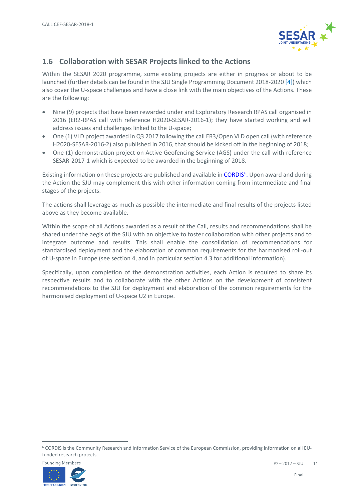

#### **1.6 Collaboration with SESAR Projects linked to the Actions**

Within the SESAR 2020 programme, some existing projects are either in progress or about to be launched (further details can be found in the SJU Single Programming Document 2018-2020 [\[4\]\)](#page-21-4) which also cover the U-space challenges and have a close link with the main objectives of the Actions. These are the following:

- Nine (9) projects that have been rewarded under and Exploratory Research RPAS call organised in 2016 (ER2-RPAS call with reference H2020-SESAR-2016-1); they have started working and will address issues and challenges linked to the U-space;
- One (1) VLD project awarded in Q3 2017 following the call ER3/Open VLD open call (with reference H2020-SESAR-2016-2) also published in 2016, that should be kicked off in the beginning of 2018;
- One (1) demonstration project on Active Geofencing Service (AGS) under the call with reference SESAR-2017-1 which is expected to be awarded in the beginning of 2018.

Existing information on these projects are published and available in CORDIS<sup>6</sup>. Upon award and during the Action the SJU may complement this with other information coming from intermediate and final stages of the projects.

The actions shall leverage as much as possible the intermediate and final results of the projects listed above as they become available.

Within the scope of all Actions awarded as a result of the Call, results and recommendations shall be shared under the aegis of the SJU with an objective to foster collaboration with other projects and to integrate outcome and results. This shall enable the consolidation of recommendations for standardised deployment and the elaboration of common requirements for the harmonised roll-out of U-space in Europe (see section 4, and in particular section 4.3 for additional information).

Specifically, upon completion of the demonstration activities, each Action is required to share its respective results and to collaborate with the other Actions on the development of consistent recommendations to the SJU for deployment and elaboration of the common requirements for the harmonised deployment of U-space U2 in Europe.

<span id="page-10-0"></span> <sup>6</sup> CORDIS is the Community Research and Information Service of the European Commission, providing information on all EUfunded research projects.

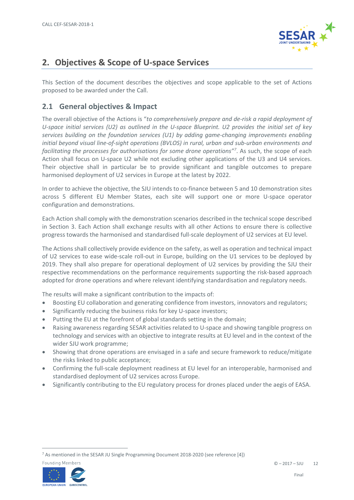

# <span id="page-11-0"></span>**2. Objectives & Scope of U-space Services**

This Section of the document describes the objectives and scope applicable to the set of Actions proposed to be awarded under the Call.

#### <span id="page-11-1"></span>**2.1 General objectives & Impact**

The overall objective of the Actions is "*to comprehensively prepare and de-risk a rapid deployment of U-space initial services (U2) as outlined in the U-space Blueprint. U2 provides the initial set of key services building on the foundation services (U1) by adding game-changing improvements enabling initial beyond visual line-of-sight operations (BVLOS) in rural, urban and sub-urban environments and facilitating the processes for authorisations for some drone operations"[7](#page-11-3)* . As such, the scope of each Action shall focus on U-space U2 while not excluding other applications of the U3 and U4 services. Their objective shall in particular be to provide significant and tangible outcomes to prepare harmonised deployment of U2 services in Europe at the latest by 2022.

In order to achieve the objective, the SJU intends to co-finance between 5 and 10 demonstration sites across 5 different EU Member States, each site will support one or more U-space operator configuration and demonstrations.

Each Action shall comply with the demonstration scenarios described in the technical scope described in Section [3.](#page-13-0) Each Action shall exchange results with all other Actions to ensure there is collective progress towards the harmonised and standardised full-scale deployment of U2 services at EU level.

The Actions shall collectively provide evidence on the safety, as well as operation and technical impact of U2 services to ease wide-scale roll-out in Europe, building on the U1 services to be deployed by 2019. They shall also prepare for operational deployment of U2 services by providing the SJU their respective recommendations on the performance requirements supporting the risk-based approach adopted for drone operations and where relevant identifying standardisation and regulatory needs.

The results will make a significant contribution to the impacts of:

- Boosting EU collaboration and generating confidence from investors, innovators and regulators;
- Significantly reducing the business risks for key U-space investors;
- Putting the EU at the forefront of global standards setting in the domain;
- Raising awareness regarding SESAR activities related to U-space and showing tangible progress on technology and services with an objective to integrate results at EU level and in the context of the wider SJU work programme;
- Showing that drone operations are envisaged in a safe and secure framework to reduce/mitigate the risks linked to public acceptance;
- Confirming the full-scale deployment readiness at EU level for an interoperable, harmonised and standardised deployment of U2 services across Europe.
- <span id="page-11-2"></span>• Significantly contributing to the EU regulatory process for drones placed under the aegis of EASA.

<span id="page-11-3"></span> <sup>7</sup> As mentioned in the SESAR JU Single Programming Document 2018-2020 (see reference [\[4\]\)](#page-21-4)

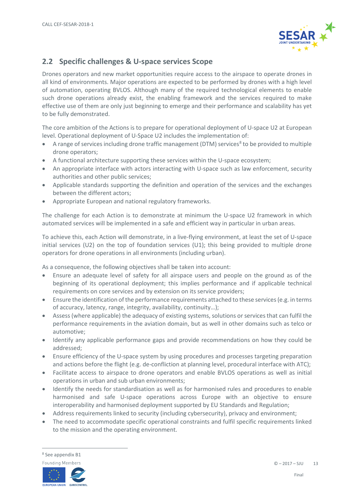

#### **2.2 Specific challenges & U-space services Scope**

Drones operators and new market opportunities require access to the airspace to operate drones in all kind of environments. Major operations are expected to be performed by drones with a high level of automation, operating BVLOS. Although many of the required technological elements to enable such drone operations already exist, the enabling framework and the services required to make effective use of them are only just beginning to emerge and their performance and scalability has yet to be fully demonstrated.

The core ambition of the Actions is to prepare for operational deployment of U-space U2 at European level. Operational deployment of U-Space U2 includes the implementation of:

- A range of services including drone traffic management (DTM) services<sup>[8](#page-12-0)</sup> to be provided to multiple drone operators;
- A functional architecture supporting these services within the U-space ecosystem;
- An appropriate interface with actors interacting with U-space such as law enforcement, security authorities and other public services;
- Applicable standards supporting the definition and operation of the services and the exchanges between the different actors;
- Appropriate European and national regulatory frameworks.

The challenge for each Action is to demonstrate at minimum the U-space U2 framework in which automated services will be implemented in a safe and efficient way in particular in urban areas.

To achieve this, each Action will demonstrate, in a live-flying environment, at least the set of U-space initial services (U2) on the top of foundation services (U1); this being provided to multiple drone operators for drone operations in all environments (including urban).

As a consequence, the following objectives shall be taken into account:

- Ensure an adequate level of safety for all airspace users and people on the ground as of the beginning of its operational deployment; this implies performance and if applicable technical requirements on core services and by extension on its service providers;
- Ensure the identification of the performance requirements attached to these services (e.g. in terms of accuracy, latency, range, integrity, availability, continuity…);
- Assess (where applicable) the adequacy of existing systems, solutions or services that can fulfil the performance requirements in the aviation domain, but as well in other domains such as telco or automotive;
- Identify any applicable performance gaps and provide recommendations on how they could be addressed;
- Ensure efficiency of the U-space system by using procedures and processes targeting preparation and actions before the flight (e.g. de-confliction at planning level, procedural interface with ATC);
- Facilitate access to airspace to drone operators and enable BVLOS operations as well as initial operations in urban and sub urban environments;
- Identify the needs for standardisation as well as for harmonised rules and procedures to enable harmonised and safe U-space operations across Europe with an objective to ensure interoperability and harmonised deployment supported by EU Standards and Regulation;
- Address requirements linked to security (including cybersecurity), privacy and environment;
- The need to accommodate specific operational constraints and fulfil specific requirements linked to the mission and the operating environment.

<span id="page-12-0"></span> <sup>8</sup> See appendix B1



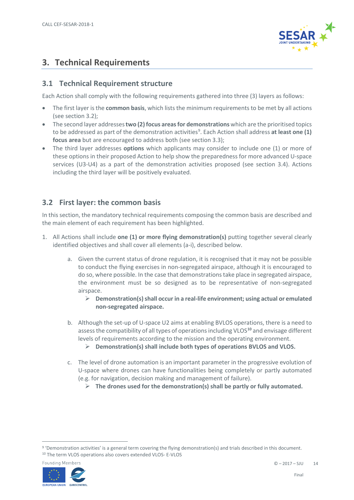

# <span id="page-13-0"></span>**3. Technical Requirements**

#### <span id="page-13-1"></span>**3.1 Technical Requirement structure**

Each Action shall comply with the following requirements gathered into three (3) layers as follows:

- The first layer is the **common basis**, which lists the minimum requirements to be met by all actions (see section [3.2\)](#page-13-2);
- The second layer addresses **two (2) focus areasfor demonstrations** which are the prioritised topics to be addressed as part of the demonstration activities<sup>[9](#page-13-3)</sup>. Each Action shall address at least one (1) **focus area** but are encouraged to address both (see section [3.3\)](#page-15-0);
- The third layer addresses **options** which applicants may consider to include one (1) or more of these options in their proposed Action to help show the preparedness for more advanced U-space services (U3-U4) as a part of the demonstration activities proposed (see section [3.4\)](#page-16-0). Actions including the third layer will be positively evaluated.

#### <span id="page-13-2"></span>**3.2 First layer: the common basis**

In this section, the mandatory technical requirements composing the common basis are described and the main element of each requirement has been highlighted.

- 1. All Actions shall include **one (1) or more flying demonstration(s)** putting together several clearly identified objectives and shall cover all elements (a-i), described below.
	- a. Given the current status of drone regulation, it is recognised that it may not be possible to conduct the flying exercises in non-segregated airspace, although it is encouraged to do so, where possible. In the case that demonstrations take place in segregated airspace, the environment must be so designed as to be representative of non-segregated airspace.
		- **Demonstration(s) shall occur in a real-life environment; using actual or emulated non-segregated airspace.**
	- b. Although the set-up of U-space U2 aims at enabling BVLOS operations, there is a need to assess the compatibility of all types of operations including VLOS**[10](#page-13-4)** and envisage different levels of requirements according to the mission and the operating environment.
		- **Demonstration(s) shall include both types of operations BVLOS and VLOS.**
	- c. The level of drone automation is an important parameter in the progressive evolution of U-space where drones can have functionalities being completely or partly automated (e.g. for navigation, decision making and management of failure).
		- **The drones used for the demonstration(s) shall be partly or fully automated.**

<span id="page-13-4"></span><span id="page-13-3"></span> <sup>9</sup> 'Demonstration activities' is a general term covering the flying demonstration(s) and trials described in this document. <sup>10</sup> The term VLOS operations also covers extended VLOS- E-VLOS

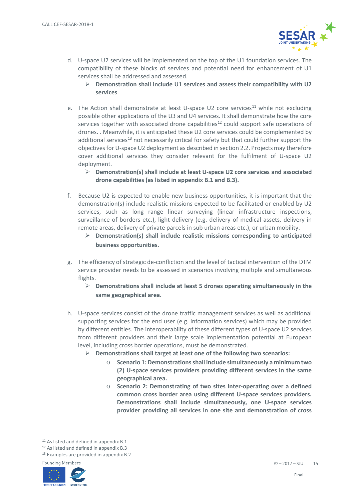

- d. U-space U2 services will be implemented on the top of the U1 foundation services. The compatibility of these blocks of services and potential need for enhancement of U1 services shall be addressed and assessed.
	- **Demonstration shall include U1 services and assess their compatibility with U2 services**.
- e. The Action shall demonstrate at least U-space U2 core services<sup>[11](#page-14-0)</sup> while not excluding possible other applications of the U3 and U4 services. It shall demonstrate how the core services together with associated drone capabilities<sup>[12](#page-14-1)</sup> could support safe operations of drones. . Meanwhile, it is anticipated these U2 core services could be complemented by additional services<sup>[13](#page-14-2)</sup> not necessarily critical for safety but that could further support the objectives for U-space U2 deployment as described in section [2.2.](#page-11-2) Projects may therefore cover additional services they consider relevant for the fulfilment of U-space U2 deployment.
	- **Demonstration(s) shall include at least U-space U2 core services and associated drone capabilities (as listed in appendix B.1 and B.3).**
- f. Because U2 is expected to enable new business opportunities, it is important that the demonstration(s) include realistic missions expected to be facilitated or enabled by U2 services, such as long range linear surveying (linear infrastructure inspections, surveillance of borders etc.), light delivery (e.g. delivery of medical assets, delivery in remote areas, delivery of private parcels in sub urban areas etc.), or urban mobility.
	- **Demonstration(s) shall include realistic missions corresponding to anticipated business opportunities.**
- g. The efficiency of strategic de-confliction and the level of tactical intervention of the DTM service provider needs to be assessed in scenarios involving multiple and simultaneous flights.
	- **Demonstrations shall include at least 5 drones operating simultaneously in the same geographical area.**
- h. U-space services consist of the drone traffic management services as well as additional supporting services for the end user (e.g. information services) which may be provided by different entities. The interoperability of these different types of U-space U2 services from different providers and their large scale implementation potential at European level, including cross border operations, must be demonstrated.
	- **Demonstrations shall target at least one of the following two scenarios:**
		- o **Scenario 1: Demonstrations shall include simultaneously a minimum two (2) U-space services providers providing different services in the same geographical area.**
		- o **Scenario 2: Demonstrating of two sites inter-operating over a defined common cross border area using different U-space services providers. Demonstrations shall include simultaneously, one U-space services provider providing all services in one site and demonstration of cross**

<span id="page-14-2"></span><sup>13</sup> Examples are provided in appendix B.2





<span id="page-14-0"></span><sup>&</sup>lt;sup>11</sup> As listed and defined in appendix B.1

<span id="page-14-1"></span><sup>12</sup> As listed and defined in appendix B.3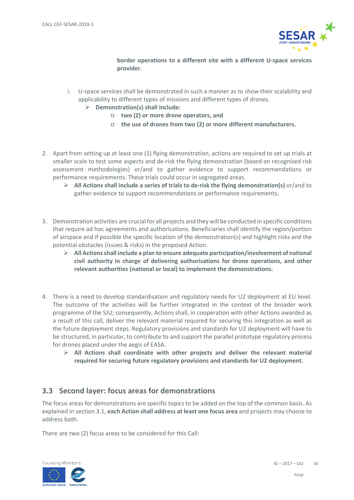

**border operations to a different site with a different U-space services provider.**

- i. U-space services shall be demonstrated in such a manner as to show their scalability and applicability to different types of missions and different types of drones.
	- **Demonstration(s) shall include:**
		- o **two (2) or more drone operators, and**
		- o **the use of drones from two (2) or more different manufacturers.**
- 2. Apart from setting up at least one (1) flying demonstration, actions are required to set up trials at smaller scale to test some aspects and de-risk the flying demonstration (based on recognised risk assessment methodologies) or/and to gather evidence to support recommendations or performance requirements. These trials could occur in segregated areas.
	- **All Actions shall include a series of trials to de-risk the flying demonstration(s)** or/and to gather evidence to support recommendations or performance requirements**.**
- 3. Demonstration activities are crucial for all projects and they will be conducted in specific conditions that require ad hoc agreements and authorisations. Beneficiaries shall identify the region/portion of airspace and if possible the specific location of the demonstration(s) and highlight risks and the potential obstacles (issues & risks) in the proposed Action.
	- **All Actionsshall include a plan to ensure adequate participation/involvement of national civil authority in charge of delivering authorisations for drone operations, and other relevant authorities (national or local) to implement the demonstrations.**
- 4. There is a need to develop standardisation and regulatory needs for U2 deployment at EU level. The outcome of the activities will be further integrated in the context of the broader work programme of the SJU; consequently, Actions shall, in cooperation with other Actions awarded as a result of this call, deliver the relevant material required for securing this integration as well as the future deployment steps. Regulatory provisions and standards for U2 deployment will have to be structured, in particular, to contribute to and support the parallel prototype regulatory process for drones placed under the aegis of EASA.
	- **All Actions shall coordinate with other projects and deliver the relevant material required for securing future regulatory provisions and standards for U2 deployment.**

#### <span id="page-15-0"></span>**3.3 Second layer: focus areas for demonstrations**

The focus areas for demonstrations are specific topics to be added on the top of the common basis. As explained in sectio[n 3.1,](#page-13-1) **each Action shall address at least one focus area** and projects may choose to address both.

There are two (2) focus areas to be considered for this Call:

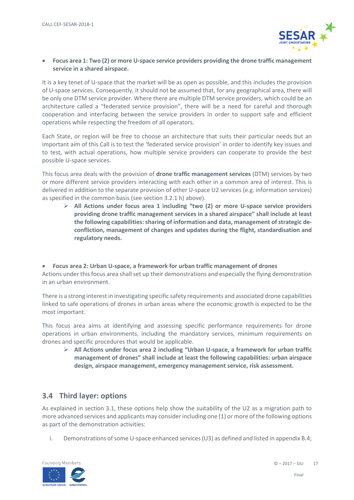

• **Focus area 1: Two (2) or more U-space service providers providing the drone traffic management service in a shared airspace.**

It is a key tenet of U-space that the market will be as open as possible, and this includes the provision of U-space services. Consequently, it should not be assumed that, for any geographical area, there will be only one DTM service provider. Where there are multiple DTM service providers, which could be an architecture called a "federated service provision", there will be a need for careful and thorough cooperation and interfacing between the service providers in order to support safe and efficient operations while respecting the freedom of all operators.

Each State, or region will be free to choose an architecture that suits their particular needs but an important aim of this Call is to test the 'federated service provision' in order to identify key issues and to test, with actual operations, how multiple service providers can cooperate to provide the best possible U-space services.

This focus area deals with the provision of **drone traffic management services** (DTM) services by two or more different service providers interacting with each other in a common area of interest. This is delivered in addition to the separate provision of other U-space U2 services (e.g. information services) as specified in the common basis (see section 3.2.1 h) above).

 **All Actions under focus area 1 including "two (2) or more U-space service providers providing drone traffic management services in a shared airspace" shall include at least**  the following capabilities: sharing of information and data, management of strategic de**confliction, management of changes and updates during the flight, standardisation and regulatory needs.**

• **Focus area 2: Urban U-space, a framework for urban traffic management of drones** Actions under this focus area shall set up their demonstrations and especially the flying demonstration in an urban environment.

There is a strong interest in investigating specific safety requirements and associated drone capabilities linked to safe operations of drones in urban areas where the economic growth is expected to be the most important.

This focus area aims at identifying and assessing specific performance requirements for drone operations in urban environments, including the mandatory services, minimum requirements on drones and specific procedures that would be applicable.

 **All Actions under focus area 2 including "Urban U-space, a framework for urban traffic management of drones" shall include at least the following capabilities: urban airspace design, airspace management, emergency management service, risk assessment.**

#### <span id="page-16-0"></span>**3.4 Third layer: options**

As explained in section [3.1,](#page-13-1) these options help show the suitability of the U2 as a migration path to more advanced services and applicants may consider including one (1) or more of the following options as part of the demonstration activities:

i. Demonstrations of some U-space enhanced services (U3) as defined and listed in appendi[x B.4;](#page-26-2)

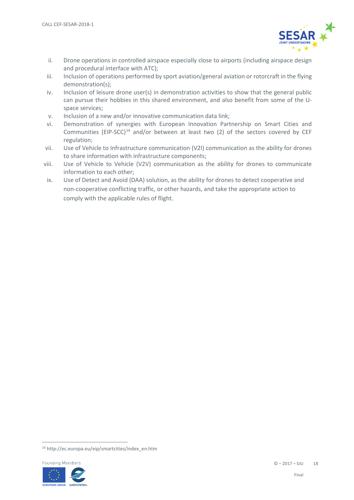

- ii. Drone operations in controlled airspace especially close to airports (including airspace design and procedural interface with ATC);
- iii. Inclusion of operations performed by sport aviation/general aviation or rotorcraft in the flying demonstration(s);
- iv. Inclusion of leisure drone user(s) in demonstration activities to show that the general public can pursue their hobbies in this shared environment, and also benefit from some of the Uspace services;
- v. Inclusion of a new and/or innovative communication data link;
- vi. Demonstration of synergies with European Innovation Partnership on Smart Cities and Communities (EIP-SCC)<sup>[14](#page-17-0)</sup> and/or between at least two (2) of the sectors covered by CEF regulation;
- vii. Use of Vehicle to Infrastructure communication (V2I) communication as the ability for drones to share information with infrastructure components;
- viii. Use of Vehicle to Vehicle (V2V) communication as the ability for drones to communicate information to each other;
- ix. Use of Detect and Avoid (DAA) solution, as the ability for drones to detect cooperative and non-cooperative conflicting traffic, or other hazards, and take the appropriate action to comply with the applicable rules of flight.

<span id="page-17-0"></span> <sup>14</sup> http://ec.europa.eu/eip/smartcities/index\_en.htm

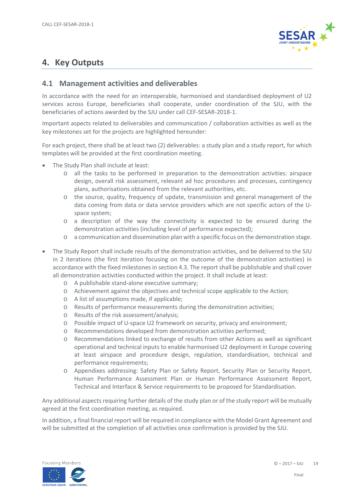

# <span id="page-18-0"></span>**4. Key Outputs**

#### <span id="page-18-1"></span>**4.1 Management activities and deliverables**

In accordance with the need for an interoperable, harmonised and standardised deployment of U2 services across Europe, beneficiaries shall cooperate, under coordination of the SJU, with the beneficiaries of actions awarded by the SJU under call CEF-SESAR-2018-1.

Important aspects related to deliverables and communication / collaboration activities as well as the key milestones set for the projects are highlighted hereunder:

For each project, there shall be at least two (2) deliverables: a study plan and a study report, for which templates will be provided at the first coordination meeting.

- The Study Plan shall include at least:
	- o all the tasks to be performed in preparation to the demonstration activities: airspace design, overall risk assessment, relevant ad hoc procedures and processes, contingency plans, authorisations obtained from the relevant authorities, etc.
	- o the source, quality, frequency of update, transmission and general management of the data coming from data or data service providers which are not specific actors of the Uspace system;
	- o a description of the way the connectivity is expected to be ensured during the demonstration activities (including level of performance expected);
	- o a communication and dissemination plan with a specific focus on the demonstration stage.
- The Study Report shall include results of the demonstration activities, and be delivered to the SJU in 2 iterations (the first iteration focusing on the outcome of the demonstration activities) in accordance with the fixed milestones in sectio[n 4.3.](#page-19-2) The report shall be publishable and shall cover all demonstration activities conducted within the project. It shall include at least:
	- o A publishable stand-alone executive summary;
	- o Achievement against the objectives and technical scope applicable to the Action;
	- o A list of assumptions made, if applicable;
	- o Results of performance measurements during the demonstration activities;
	- o Results of the risk assessment/analysis;
	- o Possible impact of U-space U2 framework on security, privacy and environment;
	- o Recommendations developed from demonstration activities performed;
	- o Recommendations linked to exchange of results from other Actions as well as significant operational and technical inputs to enable harmonised U2 deployment in Europe covering at least airspace and procedure design, regulation, standardisation, technical and performance requirements;
	- o Appendixes addressing: Safety Plan or Safety Report, Security Plan or Security Report, Human Performance Assessment Plan or Human Performance Assessment Report, Technical and Interface & Service requirements to be proposed for Standardisation.

Any additional aspects requiring further details of the study plan or of the study report will be mutually agreed at the first coordination meeting, as required.

In addition, a final financial report will be required in compliance with the Model Grant Agreement and will be submitted at the completion of all activities once confirmation is provided by the SJU.

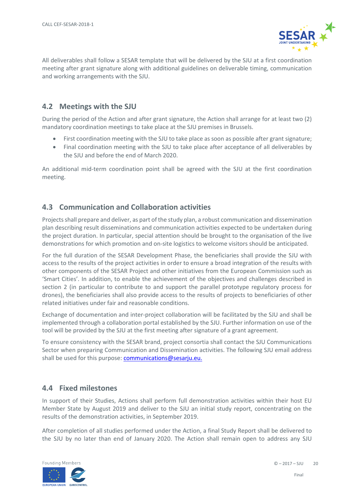

All deliverables shall follow a SESAR template that will be delivered by the SJU at a first coordination meeting after grant signature along with additional guidelines on deliverable timing, communication and working arrangements with the SJU.

#### <span id="page-19-0"></span>**4.2 Meetings with the SJU**

During the period of the Action and after grant signature, the Action shall arrange for at least two (2) mandatory coordination meetings to take place at the SJU premises in Brussels.

- First coordination meeting with the SJU to take place as soon as possible after grant signature;
- Final coordination meeting with the SJU to take place after acceptance of all deliverables by the SJU and before the end of March 2020.

An additional mid-term coordination point shall be agreed with the SJU at the first coordination meeting.

#### <span id="page-19-1"></span>**4.3 Communication and Collaboration activities**

Projects shall prepare and deliver, as part of the study plan, a robust communication and dissemination plan describing result disseminations and communication activities expected to be undertaken during the project duration. In particular, special attention should be brought to the organisation of the live demonstrations for which promotion and on-site logistics to welcome visitors should be anticipated.

For the full duration of the SESAR Development Phase, the beneficiaries shall provide the SJU with access to the results of the project activities in order to ensure a broad integration of the results with other components of the SESAR Project and other initiatives from the European Commission such as 'Smart Cities'. In addition, to enable the achievement of the objectives and challenges described in section 2 (in particular to contribute to and support the parallel prototype regulatory process for drones), the beneficiaries shall also provide access to the results of projects to beneficiaries of other related initiatives under fair and reasonable conditions.

Exchange of documentation and inter-project collaboration will be facilitated by the SJU and shall be implemented through a collaboration portal established by the SJU. Further information on use of the tool will be provided by the SJU at the first meeting after signature of a grant agreement.

To ensure consistency with the SESAR brand, project consortia shall contact the SJU Communications Sector when preparing Communication and Dissemination activities. The following SJU email address shall be used for this purpose: [communications@sesarju.eu.](mailto:communications@sesarju.eu)

#### <span id="page-19-2"></span>**4.4 Fixed milestones**

In support of their Studies, Actions shall perform full demonstration activities within their host EU Member State by August 2019 and deliver to the SJU an initial study report, concentrating on the results of the demonstration activities, in September 2019.

After completion of all studies performed under the Action, a final Study Report shall be delivered to the SJU by no later than end of January 2020. The Action shall remain open to address any SJU

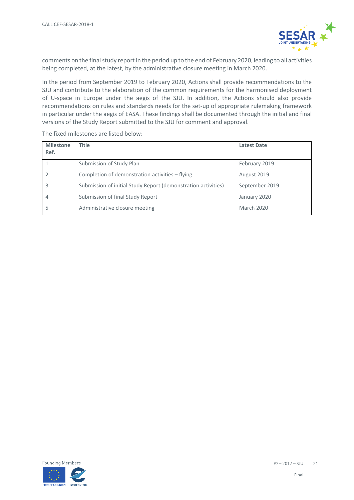

comments on the final study report in the period up to the end of February 2020, leading to all activities being completed, at the latest, by the administrative closure meeting in March 2020.

In the period from September 2019 to February 2020, Actions shall provide recommendations to the SJU and contribute to the elaboration of the common requirements for the harmonised deployment of U-space in Europe under the aegis of the SJU. In addition, the Actions should also provide recommendations on rules and standards needs for the set-up of appropriate rulemaking framework in particular under the aegis of EASA. These findings shall be documented through the initial and final versions of the Study Report submitted to the SJU for comment and approval.

| <b>Milestone</b><br>Ref. | <b>Title</b>                                                  | <b>Latest Date</b> |
|--------------------------|---------------------------------------------------------------|--------------------|
|                          | Submission of Study Plan                                      | February 2019      |
|                          | Completion of demonstration activities - flying.              | August 2019        |
|                          | Submission of initial Study Report (demonstration activities) | September 2019     |
|                          | Submission of final Study Report                              | January 2020       |
|                          | Administrative closure meeting                                | <b>March 2020</b>  |

The fixed milestones are listed below:

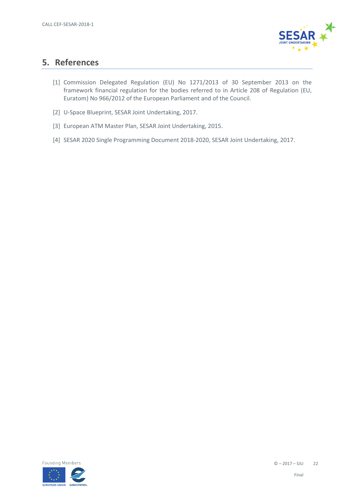

### <span id="page-21-0"></span>**5. References**

- <span id="page-21-1"></span>[1] Commission Delegated Regulation (EU) No 1271/2013 of 30 September 2013 on the framework financial regulation for the bodies referred to in Article 208 of Regulation (EU, Euratom) No 966/2012 of the European Parliament and of the Council.
- <span id="page-21-2"></span>[2] U-Space Blueprint, SESAR Joint Undertaking, 2017.
- <span id="page-21-3"></span>[3] European ATM Master Plan, SESAR Joint Undertaking, 2015.
- <span id="page-21-4"></span>[4] SESAR 2020 Single Programming Document 2018-2020, SESAR Joint Undertaking, 2017.

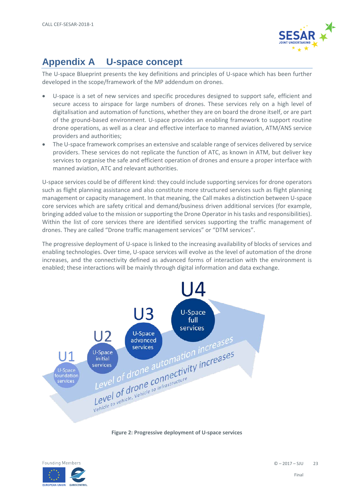

# <span id="page-22-0"></span>**Appendix A U-space concept**

The U-space Blueprint presents the key definitions and principles of U-space which has been further developed in the scope/framework of the MP addendum on drones.

- U-space is a set of new services and specific procedures designed to support safe, efficient and secure access to airspace for large numbers of drones. These services rely on a high level of digitalisation and automation of functions, whether they are on board the drone itself, or are part of the ground-based environment. U-space provides an enabling framework to support routine drone operations, as well as a clear and effective interface to manned aviation, ATM/ANS service providers and authorities;
- The U-space framework comprises an extensive and scalable range of services delivered by service providers. These services do not replicate the function of ATC, as known in ATM, but deliver key services to organise the safe and efficient operation of drones and ensure a proper interface with manned aviation, ATC and relevant authorities.

U-space services could be of different kind: they could include supporting services for drone operators such as flight planning assistance and also constitute more structured services such as flight planning management or capacity management. In that meaning, the Call makes a distinction between U-space core services which are safety critical and demand/business driven additional services (for example, bringing added value to the mission or supporting the Drone Operator in his tasks and responsibilities). Within the list of core services there are identified services supporting the traffic management of drones. They are called "Drone traffic management services" or "DTM services".

The progressive deployment of U-space is linked to the increasing availability of blocks of services and enabling technologies. Over time, U-space services will evolve as the level of automation of the drone increases, and the connectivity defined as advanced forms of interaction with the environment is enabled; these interactions will be mainly through digital information and data exchange.



**Figure 2: Progressive deployment of U-space services**

<span id="page-22-1"></span>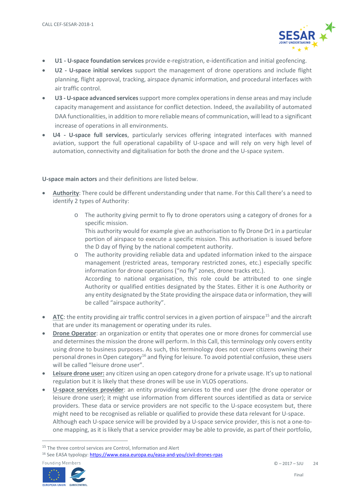

- **U1 - U-space foundation services** provide e-registration, e-identification and initial geofencing.
- **U2 - U-space initial services** support the management of drone operations and include flight planning, flight approval, tracking, airspace dynamic information, and procedural interfaces with air traffic control.
- **U3 - U-space advanced services** support more complex operations in dense areas and may include capacity management and assistance for conflict detection. Indeed, the availability of automated DAA functionalities, in addition to more reliable means of communication, will lead to a significant increase of operations in all environments.
- **U4 - U-space full services**, particularly services offering integrated interfaces with manned aviation, support the full operational capability of U-space and will rely on very high level of automation, connectivity and digitalisation for both the drone and the U-space system.

**U-space main actors** and their definitions are listed below.

- **Authority**: There could be different understanding under that name. For this Call there's a need to identify 2 types of Authority:
	- o The authority giving permit to fly to drone operators using a category of drones for a specific mission. This authority would for example give an authorisation to fly Drone Dr1 in a particular

portion of airspace to execute a specific mission. This authorisation is issued before the D day of flying by the national competent authority.

- o The authority providing reliable data and updated information inked to the airspace management (restricted areas, temporary restricted zones, etc.) especially specific information for drone operations ("no fly" zones, drone tracks etc.). According to national organisation, this role could be attributed to one single Authority or qualified entities designated by the States. Either it is one Authority or any entity designated by the State providing the airspace data or information, they will be called "airspace authority".
- **ATC**: the entity providing air traffic control services in a given portion of airspace<sup>[15](#page-23-0)</sup> and the aircraft that are under its management or operating under its rules.
- **Drone Operator**: an organization or entity that operates one or more drones for commercial use and determines the mission the drone will perform. In this Call, this terminology only covers entity using drone to business purposes. As such, this terminology does not cover citizens owning their personal drones in Open category<sup>[16](#page-23-1)</sup> and flying for leisure. To avoid potential confusion, these users will be called "leisure drone user".
- **Leisure drone user:** any citizen using an open category drone for a private usage. It's up to national regulation but it is likely that these drones will be use in VLOS operations.
- **U-space services provider**: an entity providing services to the end user (the drone operator or leisure drone user); it might use information from different sources identified as data or service providers. These data or service providers are not specific to the U-space ecosystem but, there might need to be recognised as reliable or qualified to provide these data relevant for U-space. Although each U-space service will be provided by a U-space service provider, this is not a one-toone mapping, as it is likely that a service provider may be able to provide, as part of their portfolio,

<span id="page-23-1"></span><sup>16</sup> See EASA typology[: https://www.easa.europa.eu/easa-and-you/civil-drones-rpas](https://www.easa.europa.eu/easa-and-you/civil-drones-rpas)



<span id="page-23-0"></span><sup>&</sup>lt;sup>15</sup> The three control services are Control, Information and Alert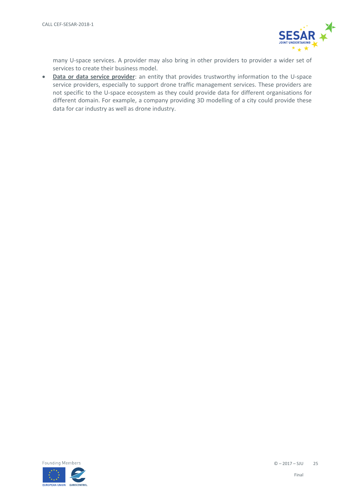

many U-space services. A provider may also bring in other providers to provider a wider set of services to create their business model.

• **Data or data service provider**: an entity that provides trustworthy information to the U-space service providers, especially to support drone traffic management services. These providers are not specific to the U-space ecosystem as they could provide data for different organisations for different domain. For example, a company providing 3D modelling of a city could provide these data for car industry as well as drone industry.

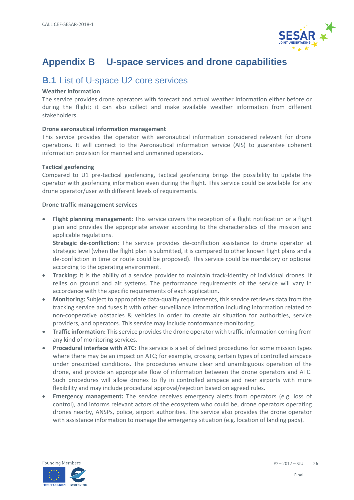

# <span id="page-25-0"></span>**Appendix B U-space services and drone capabilities**

# <span id="page-25-1"></span>**B.1** List of U-space U2 core services

#### **Weather information**

The service provides drone operators with forecast and actual weather information either before or during the flight; it can also collect and make available weather information from different stakeholders.

#### **Drone aeronautical information management**

This service provides the operator with aeronautical information considered relevant for drone operations. It will connect to the Aeronautical information service (AIS) to guarantee coherent information provision for manned and unmanned operators.

#### **Tactical geofencing**

Compared to U1 pre-tactical geofencing, tactical geofencing brings the possibility to update the operator with geofencing information even during the flight. This service could be available for any drone operator/user with different levels of requirements.

#### **Drone traffic management services**

• **Flight planning management:** This service covers the reception of a flight notification or a flight plan and provides the appropriate answer according to the characteristics of the mission and applicable regulations.

**Strategic de-confliction:** The service provides de-confliction assistance to drone operator at strategic level (when the flight plan is submitted, it is compared to other known flight plans and a de-confliction in time or route could be proposed). This service could be mandatory or optional according to the operating environment.

- **Tracking:** it is the ability of a service provider to maintain track-identity of individual drones. It relies on ground and air systems. The performance requirements of the service will vary in accordance with the specific requirements of each application.
- **Monitoring:** Subject to appropriate data-quality requirements, this service retrieves data from the tracking service and fuses it with other surveillance information including information related to non-cooperative obstacles & vehicles in order to create air situation for authorities, service providers, and operators. This service may include conformance monitoring.
- **Traffic information:** This service provides the drone operator with traffic information coming from any kind of monitoring services.
- **Procedural interface with ATC:** The service is a set of defined procedures for some mission types where there may be an impact on ATC; for example, crossing certain types of controlled airspace under prescribed conditions. The procedures ensure clear and unambiguous operation of the drone, and provide an appropriate flow of information between the drone operators and ATC. Such procedures will allow drones to fly in controlled airspace and near airports with more flexibility and may include procedural approval/rejection based on agreed rules.
- **Emergency management:** The service receives emergency alerts from operators (e.g. loss of control), and informs relevant actors of the ecosystem who could be, drone operators operating drones nearby, ANSPs, police, airport authorities. The service also provides the drone operator with assistance information to manage the emergency situation (e.g. location of landing pads).